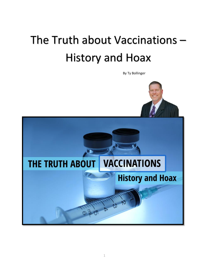## The Truth about Vaccinations – History and Hoax

By Ty Bollinger

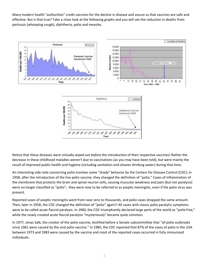Many modern health "authorities" credit vaccines for the decline in disease and assure us that vaccines are safe and effective. But is that true? Take a close look at the following graphs and you will see the reduction in deaths from pertussis (whooping cough), diphtheria, polio and measles.



Notice that these diseases were virtually wiped out *before* the introduction of their respective vaccines! Rather the decrease in these childhood maladies weren't due to vaccinations (as you may have been told), but were mainly the result of improved public health and hygiene (including sanitation and cleaner drinking water) during that time.

An interesting side note concerning polio involves some "shady" behavior by the Centers for Disease Control (CDC); in 1958, after the introduction of the live polio vaccine, they changed the definition of "polio." Cases of inflammation of the membrane that protects the brain and spinal neuron cells, causing muscular weakness and pain (but not paralysis) were no longer classified as "polio"; they were now to be referred to as aseptic meningitis, even if the polio virus was present.

Reported cases of aseptic meningitis went from near zero to thousands, and polio cases dropped the same amount. Then, later in 1958, the CDC changed the definition of "polio" again!! All cases with classic polio paralytic symptoms were to be called acute flaccid paralysis. In 1960, the CDC triumphantly declared large parts of the world as "polio free," while the newly created acute flaccid paralysis "mysteriously" became quite common.

In 1977, Jonas Salk, the creator of the polio vaccine, testified before a Senate subcommittee that "all polio outbreaks since 1961 were caused by the oral polio vaccine." In 1985, the CDC reported that 87% of the cases of polio in the USA between 1973 and 1983 were caused by the vaccine and most of the reported cases occurred in fully immunized individuals.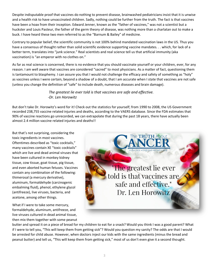Despite indisputable proof that vaccines do nothing to prevent disease, brainwashed pediatricians insist that it is unwise and a health risk to have unvaccinated children. Sadly, nothing could be further from the truth. The fact is that vaccines have been a hoax from their inception. Edward Jenner, known as the "father of vaccines," was not a scientist but a huckster and Louis Pasteur, the father of the germ theory of disease, was nothing more than a charlatan out to make a buck. I have heard these two men referred to as the "Barnum & Bailey" of medicine.

Contrary to popular belief, the scientific community is not 100% behind mandated vaccination laws in the US. Thus you have a consensus of thought rather than solid scientific evidence supporting vaccine mandates. . . which, for lack of a better term, translates into "junk science." Real scientists and real science tell us that artificial immunity (aka vaccination) is "an emperor with no clothes on."

As far as real science is concerned, there is no evidence that you should vaccinate yourself or your children, ever, for any reason. I am well aware that vaccines are considered "sacred" to most physicians. As a matter of fact, questioning them is tantamount to blasphemy. I can assure you that I would not challenge the efficacy and safety of something as "holy" as vaccines unless I were certain, beyond a shadow of a doubt, that I am accurate when I state that vaccines are not safe (unless you change the definition of "safe" to include death, numerous diseases and brain damage).

## *The greatest lie ever told is that vaccines are safe and effective. -Dr. Len Horowitz*

But don't take Dr. Horowitz's word for it! Check out the statistics for yourself; from 1990 to 2008, the US Government recorded 238,755 vaccine related injuries and deaths, according to the VAERS database. Since the FDA estimates that 90% of vaccine reactions go unrecorded, we can extrapolate that during the past 18 years, there have actually been almost 2.4 million vaccine related injuries and deaths!!

But that's not surprising, considering the toxic ingredients in most vaccines. Oftentimes described as "toxic cocktails," many vaccines contain XE "toxic cocktails" which are live and dead animal viruses that have been cultured in monkey kidney tissue, cow tissue, goat tissue, pig tissue, and even aborted human fetuses. Vaccines contain any combination of the following: thimerosal (a mercury derivative), aluminum, formaldehyde (carcinogenic embalming fluid), phenol, ethylene glycol (antifreeze), live viruses, bacteria, and acetone, among other things.

What if I were to take some mercury, formaldehyde, aluminum, antifreeze, and live viruses cultured in dead animal tissue, then mix them together with some peanut



butter and spread it on a piece of bread for my children to eat for a snack? Would you think I was a good parent? What if I were to tell you, "This will keep them from getting sick"? Would you question my sanity? The odds are that I would be arrested for child abuse. However, when doctors inject our kids with the same ingredients (minus the bread and peanut butter) and tell us, "This will keep them from getting sick," most of us don't even give it a second thought.